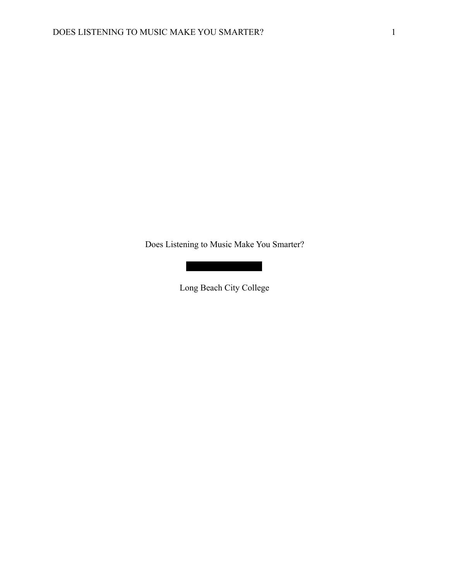Does Listening to Music Make You Smarter?

Long Beach City College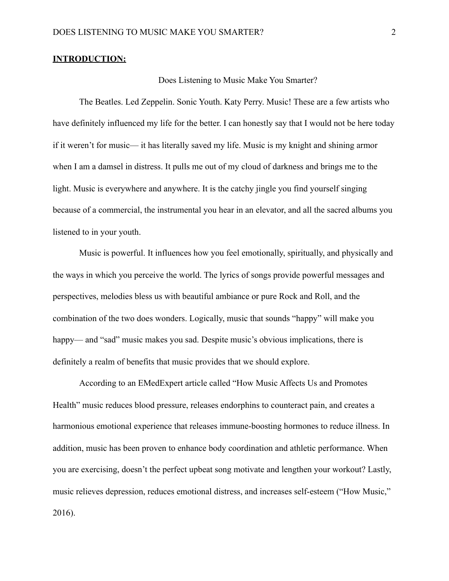### **INTRODUCTION:**

## Does Listening to Music Make You Smarter?

 The Beatles. Led Zeppelin. Sonic Youth. Katy Perry. Music! These are a few artists who have definitely influenced my life for the better. I can honestly say that I would not be here today if it weren't for music— it has literally saved my life. Music is my knight and shining armor when I am a damsel in distress. It pulls me out of my cloud of darkness and brings me to the light. Music is everywhere and anywhere. It is the catchy jingle you find yourself singing because of a commercial, the instrumental you hear in an elevator, and all the sacred albums you listened to in your youth.

 Music is powerful. It influences how you feel emotionally, spiritually, and physically and the ways in which you perceive the world. The lyrics of songs provide powerful messages and perspectives, melodies bless us with beautiful ambiance or pure Rock and Roll, and the combination of the two does wonders. Logically, music that sounds "happy" will make you happy— and "sad" music makes you sad. Despite music's obvious implications, there is definitely a realm of benefits that music provides that we should explore.

 According to an EMedExpert article called "How Music Affects Us and Promotes Health" music reduces blood pressure, releases endorphins to counteract pain, and creates a harmonious emotional experience that releases immune-boosting hormones to reduce illness. In addition, music has been proven to enhance body coordination and athletic performance. When you are exercising, doesn't the perfect upbeat song motivate and lengthen your workout? Lastly, music relieves depression, reduces emotional distress, and increases self-esteem ("How Music," 2016).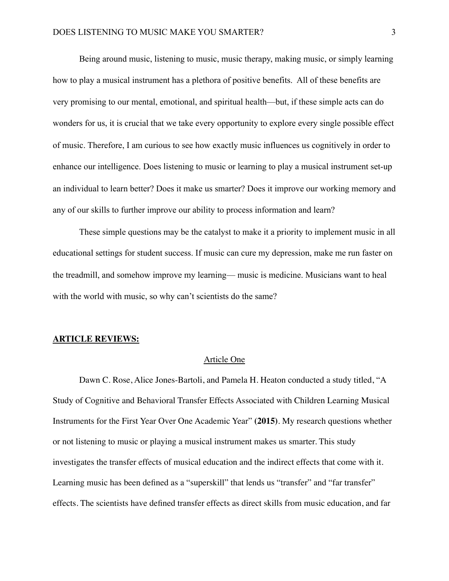Being around music, listening to music, music therapy, making music, or simply learning how to play a musical instrument has a plethora of positive benefits. All of these benefits are very promising to our mental, emotional, and spiritual health—but, if these simple acts can do wonders for us, it is crucial that we take every opportunity to explore every single possible effect of music. Therefore, I am curious to see how exactly music influences us cognitively in order to enhance our intelligence. Does listening to music or learning to play a musical instrument set-up an individual to learn better? Does it make us smarter? Does it improve our working memory and any of our skills to further improve our ability to process information and learn?

 These simple questions may be the catalyst to make it a priority to implement music in all educational settings for student success. If music can cure my depression, make me run faster on the treadmill, and somehow improve my learning— music is medicine. Musicians want to heal with the world with music, so why can't scientists do the same?

## **ARTICLE REVIEWS:**

### Article One

Dawn C. Rose, Alice Jones-Bartoli, and Pamela H. Heaton conducted a study titled, "A Study of Cognitive and Behavioral Transfer Effects Associated with Children Learning Musical Instruments for the First Year Over One Academic Year" **(2015)**. My research questions whether or not listening to music or playing a musical instrument makes us smarter. This study investigates the transfer effects of musical education and the indirect effects that come with it. Learning music has been defined as a "superskill" that lends us "transfer" and "far transfer" effects. The scientists have defined transfer effects as direct skills from music education, and far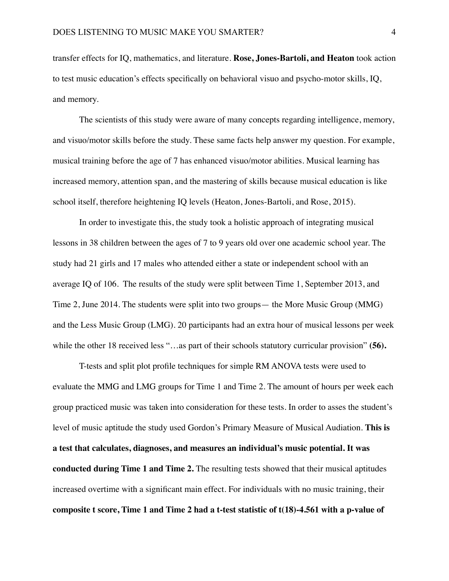transfer effects for IQ, mathematics, and literature. **Rose, Jones-Bartoli, and Heaton** took action to test music education's effects specifically on behavioral visuo and psycho-motor skills, IQ, and memory.

The scientists of this study were aware of many concepts regarding intelligence, memory, and visuo/motor skills before the study. These same facts help answer my question. For example, musical training before the age of 7 has enhanced visuo/motor abilities. Musical learning has increased memory, attention span, and the mastering of skills because musical education is like school itself, therefore heightening IQ levels (Heaton, Jones-Bartoli, and Rose, 2015).

In order to investigate this, the study took a holistic approach of integrating musical lessons in 38 children between the ages of 7 to 9 years old over one academic school year. The study had 21 girls and 17 males who attended either a state or independent school with an average IQ of 106. The results of the study were split between Time 1, September 2013, and Time 2, June 2014. The students were split into two groups— the More Music Group (MMG) and the Less Music Group (LMG). 20 participants had an extra hour of musical lessons per week while the other 18 received less "...as part of their schools statutory curricular provision" (56).

T-tests and split plot profile techniques for simple RM ANOVA tests were used to evaluate the MMG and LMG groups for Time 1 and Time 2. The amount of hours per week each group practiced music was taken into consideration for these tests. In order to asses the student's level of music aptitude the study used Gordon's Primary Measure of Musical Audiation. **This is a test that calculates, diagnoses, and measures an individual's music potential. It was conducted during Time 1 and Time 2.** The resulting tests showed that their musical aptitudes increased overtime with a significant main effect. For individuals with no music training, their **composite t score, Time 1 and Time 2 had a t-test statistic of t(18)-4.561 with a p-value of**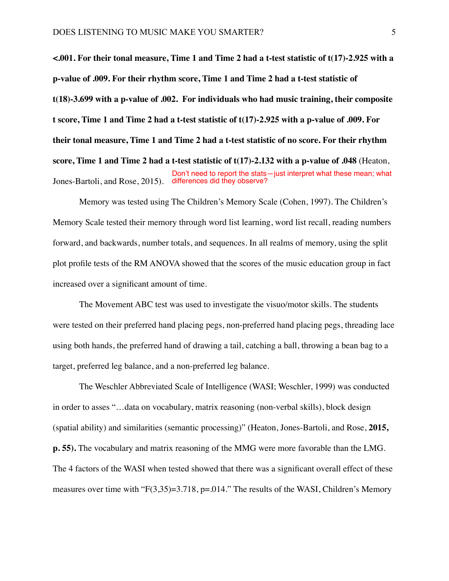**<.001. For their tonal measure, Time 1 and Time 2 had a t-test statistic of t(17)-2.925 with a p-value of .009. For their rhythm score, Time 1 and Time 2 had a t-test statistic of t(18)-3.699 with a p-value of .002. For individuals who had music training, their composite t score, Time 1 and Time 2 had a t-test statistic of t(17)-2.925 with a p-value of .009. For their tonal measure, Time 1 and Time 2 had a t-test statistic of no score. For their rhythm score, Time 1 and Time 2 had a t-test statistic of t(17)-2.132 with a p-value of .048** (Heaton, Jones-Bartoli, and Rose, 2015). differences did they observe?Don't need to report the stats—just interpret what these mean; what

Memory was tested using The Children's Memory Scale (Cohen, 1997). The Children's Memory Scale tested their memory through word list learning, word list recall, reading numbers forward, and backwards, number totals, and sequences. In all realms of memory, using the split plot profile tests of the RM ANOVA showed that the scores of the music education group in fact increased over a significant amount of time.

The Movement ABC test was used to investigate the visuo/motor skills. The students were tested on their preferred hand placing pegs, non-preferred hand placing pegs, threading lace using both hands, the preferred hand of drawing a tail, catching a ball, throwing a bean bag to a target, preferred leg balance, and a non-preferred leg balance.

The Weschler Abbreviated Scale of Intelligence (WASI; Weschler, 1999) was conducted in order to asses "…data on vocabulary, matrix reasoning (non-verbal skills), block design (spatial ability) and similarities (semantic processing)" (Heaton, Jones-Bartoli, and Rose, **2015, p. 55).** The vocabulary and matrix reasoning of the MMG were more favorable than the LMG. The 4 factors of the WASI when tested showed that there was a significant overall effect of these measures over time with " $F(3,35)=3.718$ , p=.014." The results of the WASI, Children's Memory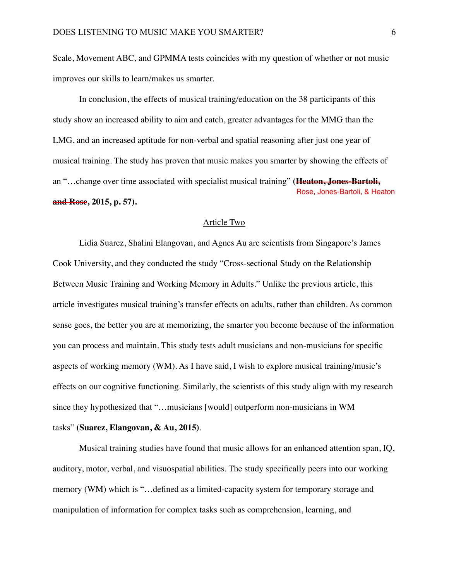Scale, Movement ABC, and GPMMA tests coincides with my question of whether or not music improves our skills to learn/makes us smarter.

In conclusion, the effects of musical training/education on the 38 participants of this study show an increased ability to aim and catch, greater advantages for the MMG than the LMG, and an increased aptitude for non-verbal and spatial reasoning after just one year of musical training. The study has proven that music makes you smarter by showing the effects of an "…change over time associated with specialist musical training" **(Heaton, Jones-Bartoli, and Rose, 2015, p. 57).** Rose, Jones-Bartoli, & Heaton

### Article Two

Lidia Suarez, Shalini Elangovan, and Agnes Au are scientists from Singapore's James Cook University, and they conducted the study "Cross-sectional Study on the Relationship Between Music Training and Working Memory in Adults." Unlike the previous article, this article investigates musical training's transfer effects on adults, rather than children. As common sense goes, the better you are at memorizing, the smarter you become because of the information you can process and maintain. This study tests adult musicians and non-musicians for specific aspects of working memory (WM). As I have said, I wish to explore musical training/music's effects on our cognitive functioning. Similarly, the scientists of this study align with my research since they hypothesized that "...musicians [would] outperform non-musicians in WM

# tasks" **(Suarez, Elangovan, & Au, 2015)**.

Musical training studies have found that music allows for an enhanced attention span, IQ, auditory, motor, verbal, and visuospatial abilities. The study specifically peers into our working memory (WM) which is "…defined as a limited-capacity system for temporary storage and manipulation of information for complex tasks such as comprehension, learning, and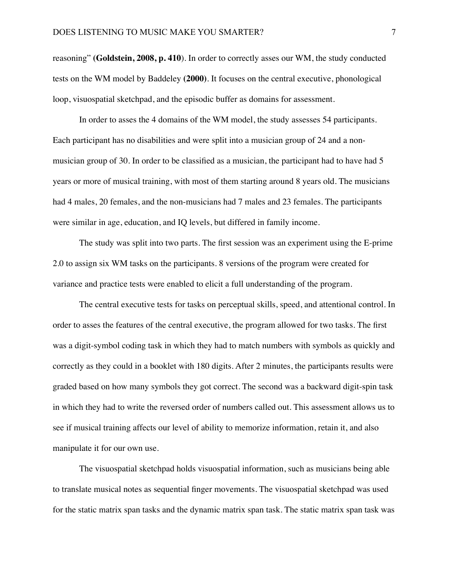reasoning" **(Goldstein, 2008, p. 410**). In order to correctly asses our WM, the study conducted tests on the WM model by Baddeley **(2000)**. It focuses on the central executive, phonological loop, visuospatial sketchpad, and the episodic buffer as domains for assessment.

In order to asses the 4 domains of the WM model, the study assesses 54 participants. Each participant has no disabilities and were split into a musician group of 24 and a nonmusician group of 30. In order to be classified as a musician, the participant had to have had 5 years or more of musical training, with most of them starting around 8 years old. The musicians had 4 males, 20 females, and the non-musicians had 7 males and 23 females. The participants were similar in age, education, and IQ levels, but differed in family income.

The study was split into two parts. The first session was an experiment using the E-prime 2.0 to assign six WM tasks on the participants. 8 versions of the program were created for variance and practice tests were enabled to elicit a full understanding of the program.

The central executive tests for tasks on perceptual skills, speed, and attentional control. In order to asses the features of the central executive, the program allowed for two tasks. The first was a digit-symbol coding task in which they had to match numbers with symbols as quickly and correctly as they could in a booklet with 180 digits. After 2 minutes, the participants results were graded based on how many symbols they got correct. The second was a backward digit-spin task in which they had to write the reversed order of numbers called out. This assessment allows us to see if musical training affects our level of ability to memorize information, retain it, and also manipulate it for our own use.

The visuospatial sketchpad holds visuospatial information, such as musicians being able to translate musical notes as sequential finger movements. The visuospatial sketchpad was used for the static matrix span tasks and the dynamic matrix span task. The static matrix span task was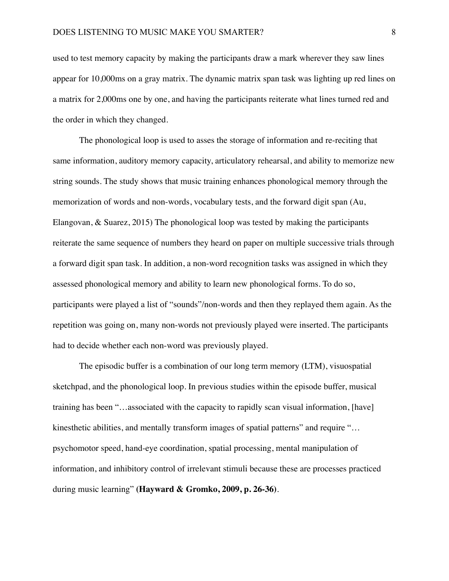used to test memory capacity by making the participants draw a mark wherever they saw lines appear for 10,000ms on a gray matrix. The dynamic matrix span task was lighting up red lines on a matrix for 2,000ms one by one, and having the participants reiterate what lines turned red and the order in which they changed.

The phonological loop is used to asses the storage of information and re-reciting that same information, auditory memory capacity, articulatory rehearsal, and ability to memorize new string sounds. The study shows that music training enhances phonological memory through the memorization of words and non-words, vocabulary tests, and the forward digit span (Au, Elangovan, & Suarez, 2015) The phonological loop was tested by making the participants reiterate the same sequence of numbers they heard on paper on multiple successive trials through a forward digit span task. In addition, a non-word recognition tasks was assigned in which they assessed phonological memory and ability to learn new phonological forms. To do so, participants were played a list of "sounds"/non-words and then they replayed them again. As the repetition was going on, many non-words not previously played were inserted. The participants had to decide whether each non-word was previously played.

The episodic buffer is a combination of our long term memory (LTM), visuospatial sketchpad, and the phonological loop. In previous studies within the episode buffer, musical training has been "…associated with the capacity to rapidly scan visual information, [have] kinesthetic abilities, and mentally transform images of spatial patterns" and require "... psychomotor speed, hand-eye coordination, spatial processing, mental manipulation of information, and inhibitory control of irrelevant stimuli because these are processes practiced during music learning" **(Hayward & Gromko, 2009, p. 26-36)**.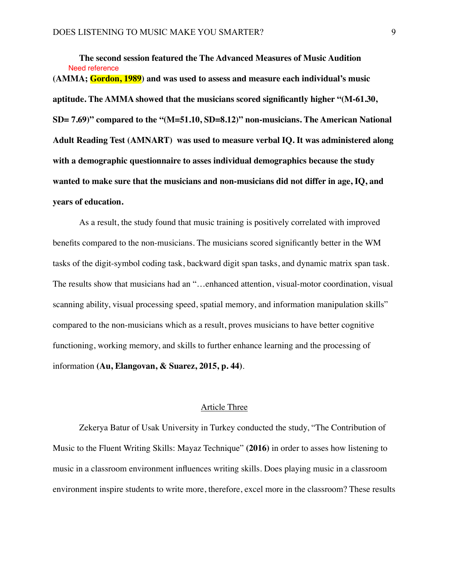**The second session featured the The Advanced Measures of Music Audition (AMMA; Gordon, 1989) and was used to assess and measure each individual's music aptitude. The AMMA showed that the musicians scored significantly higher "(M-61.30, SD= 7.69)" compared to the "(M=51.10, SD=8.12)" non-musicians. The American National Adult Reading Test (AMNART) was used to measure verbal IQ. It was administered along with a demographic questionnaire to asses individual demographics because the study wanted to make sure that the musicians and non-musicians did not differ in age, IQ, and years of education.** Need reference

As a result, the study found that music training is positively correlated with improved benefits compared to the non-musicians. The musicians scored significantly better in the WM tasks of the digit-symbol coding task, backward digit span tasks, and dynamic matrix span task. The results show that musicians had an "…enhanced attention, visual-motor coordination, visual scanning ability, visual processing speed, spatial memory, and information manipulation skills" compared to the non-musicians which as a result, proves musicians to have better cognitive functioning, working memory, and skills to further enhance learning and the processing of information **(Au, Elangovan, & Suarez, 2015, p. 44)**.

### Article Three

Zekerya Batur of Usak University in Turkey conducted the study, "The Contribution of Music to the Fluent Writing Skills: Mayaz Technique" **(2016)** in order to asses how listening to music in a classroom environment influences writing skills. Does playing music in a classroom environment inspire students to write more, therefore, excel more in the classroom? These results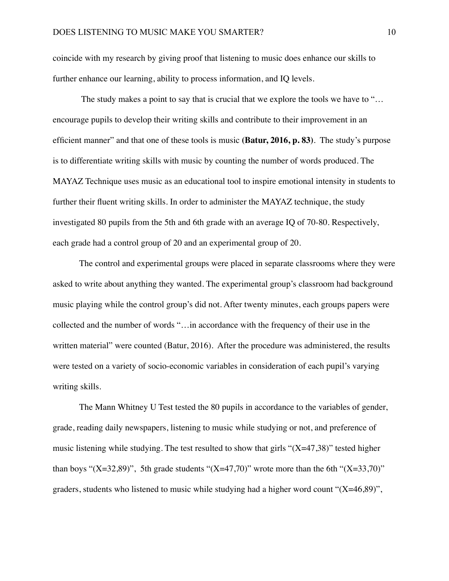coincide with my research by giving proof that listening to music does enhance our skills to further enhance our learning, ability to process information, and IQ levels.

The study makes a point to say that is crucial that we explore the tools we have to "... encourage pupils to develop their writing skills and contribute to their improvement in an efficient manner" and that one of these tools is music **(Batur, 2016, p. 83)**. The study's purpose is to differentiate writing skills with music by counting the number of words produced. The MAYAZ Technique uses music as an educational tool to inspire emotional intensity in students to further their fluent writing skills. In order to administer the MAYAZ technique, the study investigated 80 pupils from the 5th and 6th grade with an average IQ of 70-80. Respectively, each grade had a control group of 20 and an experimental group of 20.

The control and experimental groups were placed in separate classrooms where they were asked to write about anything they wanted. The experimental group's classroom had background music playing while the control group's did not. After twenty minutes, each groups papers were collected and the number of words "…in accordance with the frequency of their use in the written material" were counted (Batur, 2016). After the procedure was administered, the results were tested on a variety of socio-economic variables in consideration of each pupil's varying writing skills.

The Mann Whitney U Test tested the 80 pupils in accordance to the variables of gender, grade, reading daily newspapers, listening to music while studying or not, and preference of music listening while studying. The test resulted to show that girls " $(X=47,38)$ " tested higher than boys "(X=32,89)", 5th grade students "(X=47,70)" wrote more than the 6th "(X=33,70)" graders, students who listened to music while studying had a higher word count " $(X=46,89)$ ",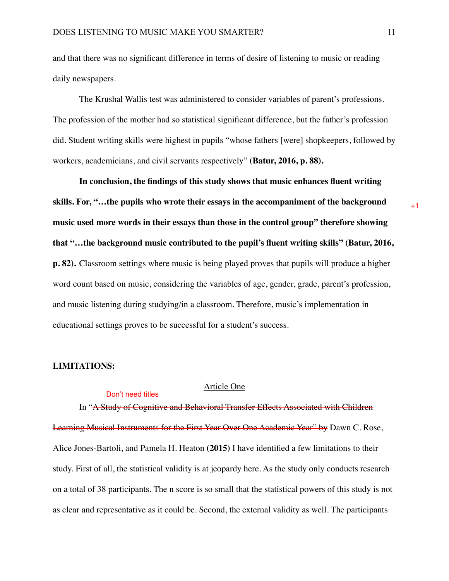and that there was no significant difference in terms of desire of listening to music or reading daily newspapers.

The Krushal Wallis test was administered to consider variables of parent's professions. The profession of the mother had so statistical significant difference, but the father's profession did. Student writing skills were highest in pupils "whose fathers [were] shopkeepers, followed by workers, academicians, and civil servants respectively" **(Batur, 2016, p. 88).** 

**In conclusion, the findings of this study shows that music enhances fluent writing skills. For, "…the pupils who wrote their essays in the accompaniment of the background music used more words in their essays than those in the control group" therefore showing that "…the background music contributed to the pupil's fluent writing skills" (Batur, 2016, p. 82).** Classroom settings where music is being played proves that pupils will produce a higher word count based on music, considering the variables of age, gender, grade, parent's profession, and music listening during studying/in a classroom. Therefore, music's implementation in educational settings proves to be successful for a student's success.

#### **LIMITATIONS:**

Don't need titles

# Article One

In "A Study of Cognitive and Behavioral Transfer Effects Associated with Children Learning Musical Instruments for the First Year Over One Academic Year" by Dawn C. Rose, Alice Jones-Bartoli, and Pamela H. Heaton **(2015)** I have identified a few limitations to their study. First of all, the statistical validity is at jeopardy here. As the study only conducts research on a total of 38 participants. The n score is so small that the statistical powers of this study is not as clear and representative as it could be. Second, the external validity as well. The participants

 $+1$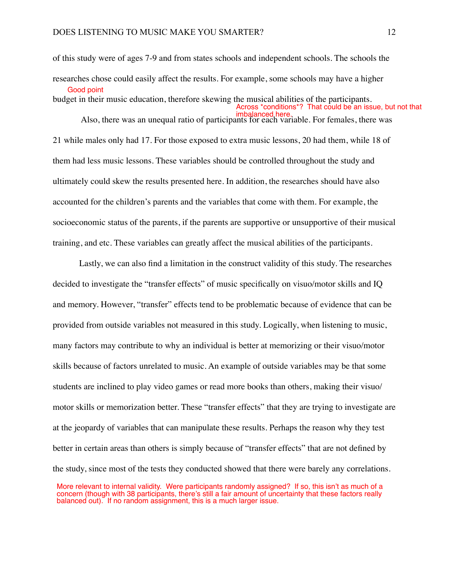of this study were of ages 7-9 and from states schools and independent schools. The schools the researches chose could easily affect the results. For example, some schools may have a higher budget in their music education, therefore skewing the musical abilities of the participants. Also, there was an unequal ratio of participants for each variable. For females, there was Also, there was 21 while males only had 17. For those exposed to extra music lessons, 20 had them, while 18 of them had less music lessons. These variables should be controlled throughout the study and ultimately could skew the results presented here. In addition, the researches should have also accounted for the children's parents and the variables that come with them. For example, the socioeconomic status of the parents, if the parents are supportive or unsupportive of their musical Good point Across \*conditions\*? That could be an issue, but not that

Lastly, we can also find a limitation in the construct validity of this study. The researches decided to investigate the "transfer effects" of music specifically on visuo/motor skills and IQ and memory. However, "transfer" effects tend to be problematic because of evidence that can be provided from outside variables not measured in this study. Logically, when listening to music, many factors may contribute to why an individual is better at memorizing or their visuo/motor skills because of factors unrelated to music. An example of outside variables may be that some students are inclined to play video games or read more books than others, making their visuo/ motor skills or memorization better. These "transfer effects" that they are trying to investigate are at the jeopardy of variables that can manipulate these results. Perhaps the reason why they test better in certain areas than others is simply because of "transfer effects" that are not defined by the study, since most of the tests they conducted showed that there were barely any correlations.

training, and etc. These variables can greatly affect the musical abilities of the participants.

More relevant to internal validity. Were participants randomly assigned? If so, this isn't as much of a concern (though with 38 participants, there's still a fair amount of uncertainty that these factors really balanced out). If no random assignment, this is a much larger issue.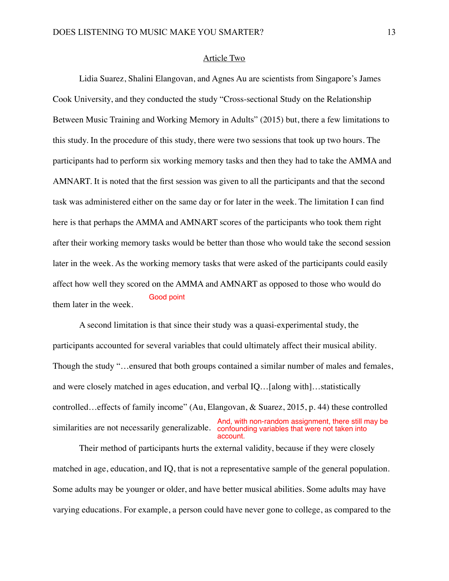#### Article Two

Lidia Suarez, Shalini Elangovan, and Agnes Au are scientists from Singapore's James Cook University, and they conducted the study "Cross-sectional Study on the Relationship Between Music Training and Working Memory in Adults" (2015) but, there a few limitations to this study. In the procedure of this study, there were two sessions that took up two hours. The participants had to perform six working memory tasks and then they had to take the AMMA and AMNART. It is noted that the first session was given to all the participants and that the second task was administered either on the same day or for later in the week. The limitation I can find here is that perhaps the AMMA and AMNART scores of the participants who took them right after their working memory tasks would be better than those who would take the second session later in the week. As the working memory tasks that were asked of the participants could easily affect how well they scored on the AMMA and AMNART as opposed to those who would do them later in the week. Good point

A second limitation is that since their study was a quasi-experimental study, the participants accounted for several variables that could ultimately affect their musical ability. Though the study "…ensured that both groups contained a similar number of males and females, and were closely matched in ages education, and verbal IQ…[along with]…statistically controlled…effects of family income" (Au, Elangovan, & Suarez, 2015, p. 44) these controlled similarities are not necessarily generalizable. confounding variables that were not taken into And, with non-random assignment, there still may be account.

Their method of participants hurts the external validity, because if they were closely matched in age, education, and IQ, that is not a representative sample of the general population. Some adults may be younger or older, and have better musical abilities. Some adults may have varying educations. For example, a person could have never gone to college, as compared to the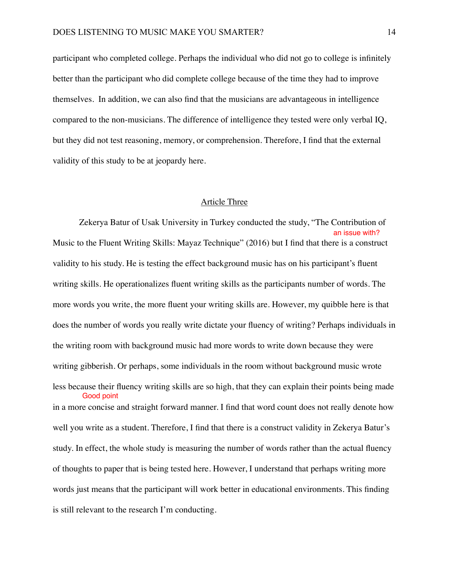participant who completed college. Perhaps the individual who did not go to college is infinitely better than the participant who did complete college because of the time they had to improve themselves. In addition, we can also find that the musicians are advantageous in intelligence compared to the non-musicians. The difference of intelligence they tested were only verbal IQ, but they did not test reasoning, memory, or comprehension. Therefore, I find that the external validity of this study to be at jeopardy here.

### Article Three

Zekerya Batur of Usak University in Turkey conducted the study, "The Contribution of Music to the Fluent Writing Skills: Mayaz Technique" (2016) but I find that there is a construct validity to his study. He is testing the effect background music has on his participant's fluent writing skills. He operationalizes fluent writing skills as the participants number of words. The more words you write, the more fluent your writing skills are. However, my quibble here is that does the number of words you really write dictate your fluency of writing? Perhaps individuals in the writing room with background music had more words to write down because they were writing gibberish. Or perhaps, some individuals in the room without background music wrote less because their fluency writing skills are so high, that they can explain their points being made in a more concise and straight forward manner. I find that word count does not really denote how well you write as a student. Therefore, I find that there is a construct validity in Zekerya Batur's study. In effect, the whole study is measuring the number of words rather than the actual fluency of thoughts to paper that is being tested here. However, I understand that perhaps writing more words just means that the participant will work better in educational environments. This finding is still relevant to the research I'm conducting. an issue with? Good point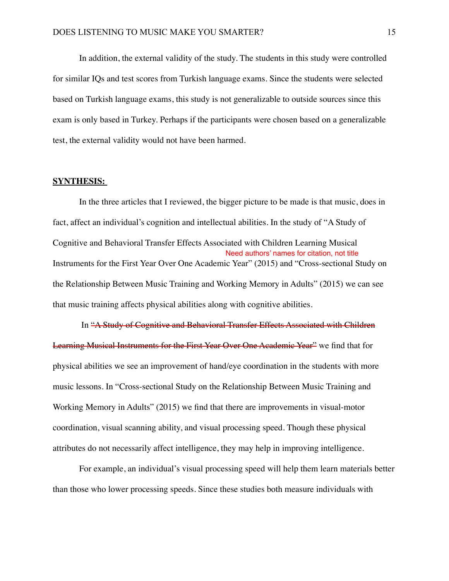In addition, the external validity of the study. The students in this study were controlled for similar IQs and test scores from Turkish language exams. Since the students were selected based on Turkish language exams, this study is not generalizable to outside sources since this exam is only based in Turkey. Perhaps if the participants were chosen based on a generalizable test, the external validity would not have been harmed.

### **SYNTHESIS:**

In the three articles that I reviewed, the bigger picture to be made is that music, does in fact, affect an individual's cognition and intellectual abilities. In the study of "A Study of Cognitive and Behavioral Transfer Effects Associated with Children Learning Musical Instruments for the First Year Over One Academic Year" (2015) and "Cross-sectional Study on the Relationship Between Music Training and Working Memory in Adults" (2015) we can see that music training affects physical abilities along with cognitive abilities. Need authors' names for citation, not title

 In "A Study of Cognitive and Behavioral Transfer Effects Associated with Children Learning Musical Instruments for the First Year Over One Academic Year" we find that for physical abilities we see an improvement of hand/eye coordination in the students with more music lessons. In "Cross-sectional Study on the Relationship Between Music Training and Working Memory in Adults" (2015) we find that there are improvements in visual-motor coordination, visual scanning ability, and visual processing speed. Though these physical attributes do not necessarily affect intelligence, they may help in improving intelligence.

For example, an individual's visual processing speed will help them learn materials better than those who lower processing speeds. Since these studies both measure individuals with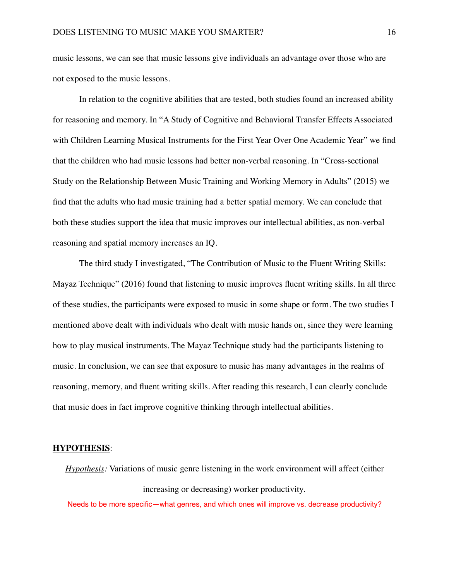music lessons, we can see that music lessons give individuals an advantage over those who are not exposed to the music lessons.

In relation to the cognitive abilities that are tested, both studies found an increased ability for reasoning and memory. In "A Study of Cognitive and Behavioral Transfer Effects Associated with Children Learning Musical Instruments for the First Year Over One Academic Year" we find that the children who had music lessons had better non-verbal reasoning. In "Cross-sectional Study on the Relationship Between Music Training and Working Memory in Adults" (2015) we find that the adults who had music training had a better spatial memory. We can conclude that both these studies support the idea that music improves our intellectual abilities, as non-verbal reasoning and spatial memory increases an IQ.

The third study I investigated, "The Contribution of Music to the Fluent Writing Skills: Mayaz Technique" (2016) found that listening to music improves fluent writing skills. In all three of these studies, the participants were exposed to music in some shape or form. The two studies I mentioned above dealt with individuals who dealt with music hands on, since they were learning how to play musical instruments. The Mayaz Technique study had the participants listening to music. In conclusion, we can see that exposure to music has many advantages in the realms of reasoning, memory, and fluent writing skills. After reading this research, I can clearly conclude that music does in fact improve cognitive thinking through intellectual abilities.

#### **HYPOTHESIS**:

*Hypothesis:* Variations of music genre listening in the work environment will affect (either increasing or decreasing) worker productivity.

Needs to be more specific—what genres, and which ones will improve vs. decrease productivity?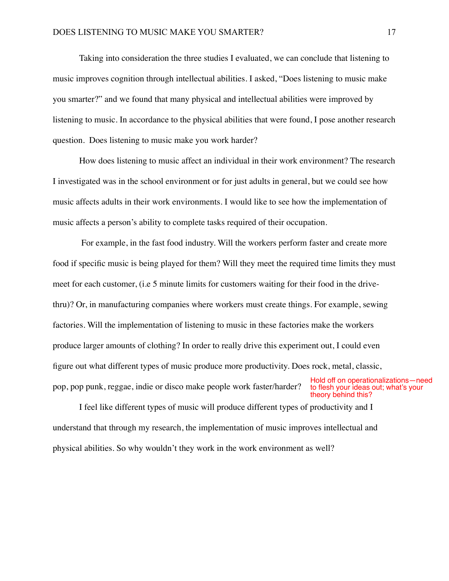Taking into consideration the three studies I evaluated, we can conclude that listening to music improves cognition through intellectual abilities. I asked, "Does listening to music make you smarter?" and we found that many physical and intellectual abilities were improved by listening to music. In accordance to the physical abilities that were found, I pose another research question. Does listening to music make you work harder?

How does listening to music affect an individual in their work environment? The research I investigated was in the school environment or for just adults in general, but we could see how music affects adults in their work environments. I would like to see how the implementation of music affects a person's ability to complete tasks required of their occupation.

 For example, in the fast food industry. Will the workers perform faster and create more food if specific music is being played for them? Will they meet the required time limits they must meet for each customer, (i.e 5 minute limits for customers waiting for their food in the drivethru)? Or, in manufacturing companies where workers must create things. For example, sewing factories. Will the implementation of listening to music in these factories make the workers produce larger amounts of clothing? In order to really drive this experiment out, I could even figure out what different types of music produce more productivity. Does rock, metal, classic, pop, pop punk, reggae, indie or disco make people work faster/harder? Hold off on operationalizations—need to flesh your ideas out; what's your

I feel like different types of music will produce different types of productivity and I understand that through my research, the implementation of music improves intellectual and physical abilities. So why wouldn't they work in the work environment as well? theory behind this?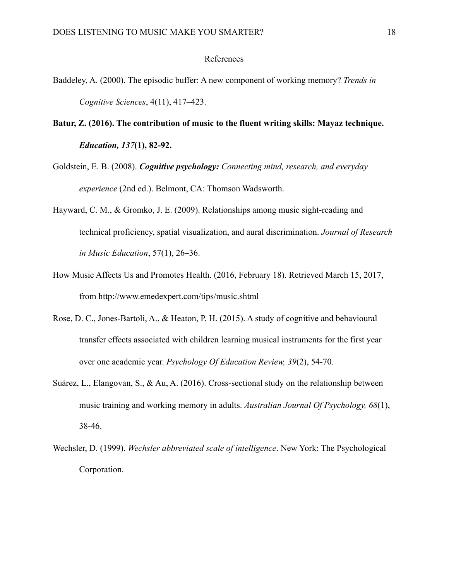### References

- Baddeley, A. (2000). The episodic buffer: A new component of working memory? *Trends in Cognitive Sciences*, 4(11), 417–423.
- **Batur, Z. (2016). The contribution of music to the fluent writing skills: Mayaz technique.**  *Education, 137***(1), 82-92.**
- Goldstein, E. B. (2008). *Cognitive psychology: Connecting mind, research, and everyday experience* (2nd ed.). Belmont, CA: Thomson Wadsworth.
- Hayward, C. M., & Gromko, J. E. (2009). Relationships among music sight-reading and technical proficiency, spatial visualization, and aural discrimination. *Journal of Research in Music Education*, 57(1), 26–36.
- How Music Affects Us and Promotes Health. (2016, February 18). Retrieved March 15, 2017, from http://www.emedexpert.com/tips/music.shtml
- Rose, D. C., Jones-Bartoli, A., & Heaton, P. H. (2015). A study of cognitive and behavioural transfer effects associated with children learning musical instruments for the first year over one academic year. *Psychology Of Education Review, 39*(2), 54-70.
- Suárez, L., Elangovan, S., & Au, A. (2016). Cross-sectional study on the relationship between music training and working memory in adults. *Australian Journal Of Psychology, 68*(1), 38-46.
- Wechsler, D. (1999). *Wechsler abbreviated scale of intelligence*. New York: The Psychological Corporation.